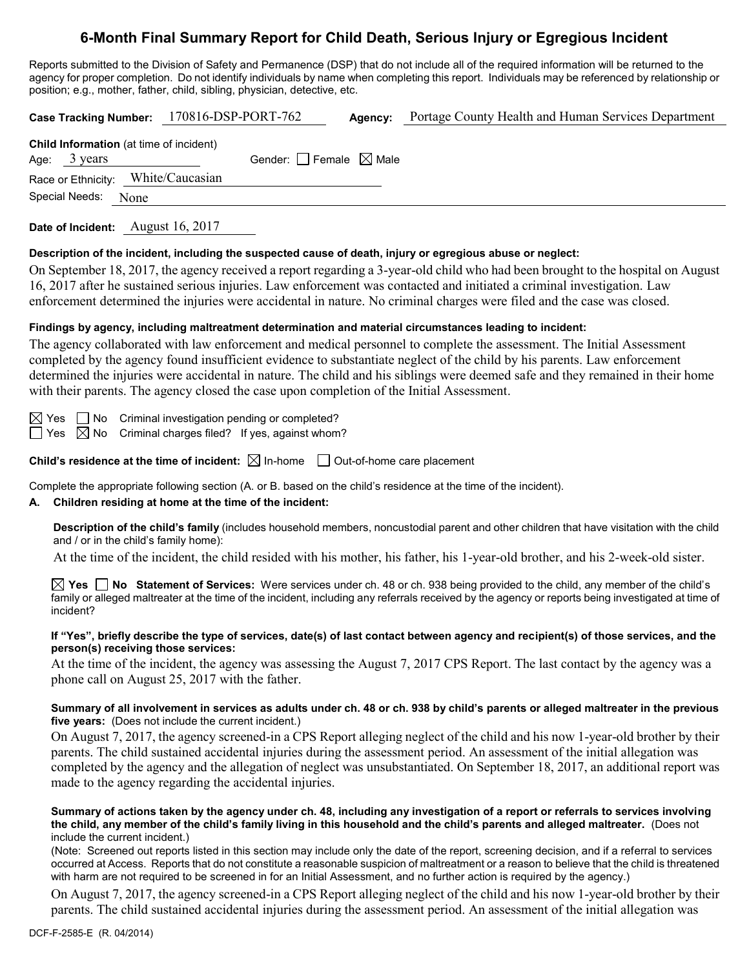# **6-Month Final Summary Report for Child Death, Serious Injury or Egregious Incident**

Reports submitted to the Division of Safety and Permanence (DSP) that do not include all of the required information will be returned to the agency for proper completion. Do not identify individuals by name when completing this report. Individuals may be referenced by relationship or position; e.g., mother, father, child, sibling, physician, detective, etc.

| <b>Case Tracking Number:</b>                                                                               | 170816-DSP-PORT-762             | Agency: | Portage County Health and Human Services Department                                                                                                                                                                                                                                                            |  |  |  |
|------------------------------------------------------------------------------------------------------------|---------------------------------|---------|----------------------------------------------------------------------------------------------------------------------------------------------------------------------------------------------------------------------------------------------------------------------------------------------------------------|--|--|--|
| <b>Child Information</b> (at time of incident)<br>3 years<br>Age:                                          | Gender: Female $\boxtimes$ Male |         |                                                                                                                                                                                                                                                                                                                |  |  |  |
| Race or Ethnicity:                                                                                         | White/Caucasian                 |         |                                                                                                                                                                                                                                                                                                                |  |  |  |
| Special Needs:<br>None                                                                                     |                                 |         |                                                                                                                                                                                                                                                                                                                |  |  |  |
| Date of Incident: August 16, 2017                                                                          |                                 |         |                                                                                                                                                                                                                                                                                                                |  |  |  |
| Description of the incident, including the suspected cause of death, injury or egregious abuse or neglect: |                                 |         |                                                                                                                                                                                                                                                                                                                |  |  |  |
|                                                                                                            |                                 |         | On September 18, 2017, the agency received a report regarding a 3-year-old child who had been brought to the hospital on August<br>$16.0017$ , $\Omega$ , $1$ , and $1$ , and $1$ , and $1$ , and $1$ , and $\Omega$ , and $1$ , and $1$ , and $1$ , and $1$ , and $1$ , and $1$ , and $1$ , and $1$ , and $1$ |  |  |  |

16, 2017 after he sustained serious injuries. Law enforcement was contacted and initiated a criminal investigation. Law enforcement determined the injuries were accidental in nature. No criminal charges were filed and the case was closed.

### **Findings by agency, including maltreatment determination and material circumstances leading to incident:**

The agency collaborated with law enforcement and medical personnel to complete the assessment. The Initial Assessment completed by the agency found insufficient evidence to substantiate neglect of the child by his parents. Law enforcement determined the injuries were accidental in nature. The child and his siblings were deemed safe and they remained in their home with their parents. The agency closed the case upon completion of the Initial Assessment.

 $\Box$  No Criminal investigation pending or completed?

 $\exists$  Yes  $\boxtimes$  No Criminal charges filed? If yes, against whom?

**Child's residence at the time of incident:**  $\boxtimes$  In-home  $\Box$  Out-of-home care placement

Complete the appropriate following section (A. or B. based on the child's residence at the time of the incident).

#### **A. Children residing at home at the time of the incident:**

**Description of the child's family** (includes household members, noncustodial parent and other children that have visitation with the child and / or in the child's family home):

At the time of the incident, the child resided with his mother, his father, his 1-year-old brother, and his 2-week-old sister.

**Yes No Statement of Services:** Were services under ch. 48 or ch. 938 being provided to the child, any member of the child's family or alleged maltreater at the time of the incident, including any referrals received by the agency or reports being investigated at time of incident?

#### **If "Yes", briefly describe the type of services, date(s) of last contact between agency and recipient(s) of those services, and the person(s) receiving those services:**

At the time of the incident, the agency was assessing the August 7, 2017 CPS Report. The last contact by the agency was a phone call on August 25, 2017 with the father.

#### **Summary of all involvement in services as adults under ch. 48 or ch. 938 by child's parents or alleged maltreater in the previous five years:** (Does not include the current incident.)

On August 7, 2017, the agency screened-in a CPS Report alleging neglect of the child and his now 1-year-old brother by their parents. The child sustained accidental injuries during the assessment period. An assessment of the initial allegation was completed by the agency and the allegation of neglect was unsubstantiated. On September 18, 2017, an additional report was made to the agency regarding the accidental injuries.

#### **Summary of actions taken by the agency under ch. 48, including any investigation of a report or referrals to services involving the child, any member of the child's family living in this household and the child's parents and alleged maltreater.** (Does not include the current incident.)

(Note: Screened out reports listed in this section may include only the date of the report, screening decision, and if a referral to services occurred at Access. Reports that do not constitute a reasonable suspicion of maltreatment or a reason to believe that the child is threatened with harm are not required to be screened in for an Initial Assessment, and no further action is required by the agency.)

On August 7, 2017, the agency screened-in a CPS Report alleging neglect of the child and his now 1-year-old brother by their parents. The child sustained accidental injuries during the assessment period. An assessment of the initial allegation was